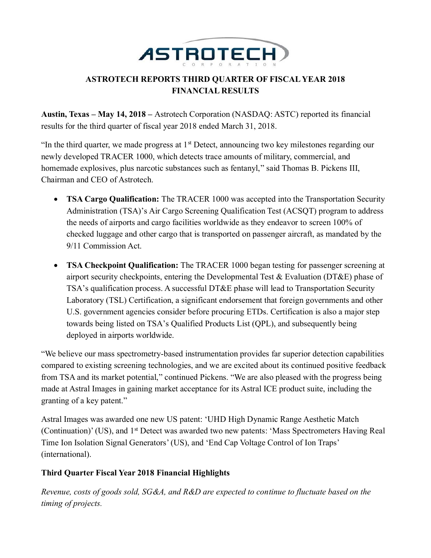

# **ASTROTECH REPORTS THIRD QUARTER OF FISCAL YEAR 2018 FINANCIAL RESULTS**

**Austin, Texas – May 14, 2018 –** Astrotech Corporation (NASDAQ: ASTC) reported its financial results for the third quarter of fiscal year 2018 ended March 31, 2018.

"In the third quarter, we made progress at  $1<sup>st</sup>$  Detect, announcing two key milestones regarding our newly developed TRACER 1000, which detects trace amounts of military, commercial, and homemade explosives, plus narcotic substances such as fentanyl," said Thomas B. Pickens III, Chairman and CEO of Astrotech.

- **TSA Cargo Qualification:** The TRACER 1000 was accepted into the Transportation Security Administration (TSA)'s Air Cargo Screening Qualification Test (ACSQT) program to address the needs of airports and cargo facilities worldwide as they endeavor to screen 100% of checked luggage and other cargo that is transported on passenger aircraft, as mandated by the 9/11 Commission Act.
- **TSA Checkpoint Qualification:** The TRACER 1000 began testing for passenger screening at airport security checkpoints, entering the Developmental Test & Evaluation (DT&E) phase of TSA's qualification process. A successful DT&E phase will lead to Transportation Security Laboratory (TSL) Certification, a significant endorsement that foreign governments and other U.S. government agencies consider before procuring ETDs. Certification is also a major step towards being listed on TSA's Qualified Products List (QPL), and subsequently being deployed in airports worldwide.

"We believe our mass spectrometry-based instrumentation provides far superior detection capabilities compared to existing screening technologies, and we are excited about its continued positive feedback from TSA and its market potential," continued Pickens. "We are also pleased with the progress being made at Astral Images in gaining market acceptance for its Astral ICE product suite, including the granting of a key patent."

Astral Images was awarded one new US patent: 'UHD High Dynamic Range Aesthetic Match (Continuation)' (US), and 1<sup>st</sup> Detect was awarded two new patents: 'Mass Spectrometers Having Real Time Ion Isolation Signal Generators' (US), and 'End Cap Voltage Control of Ion Traps' (international).

## **Third Quarter Fiscal Year 2018 Financial Highlights**

*Revenue, costs of goods sold, SG&A, and R&D are expected to continue to fluctuate based on the timing of projects.*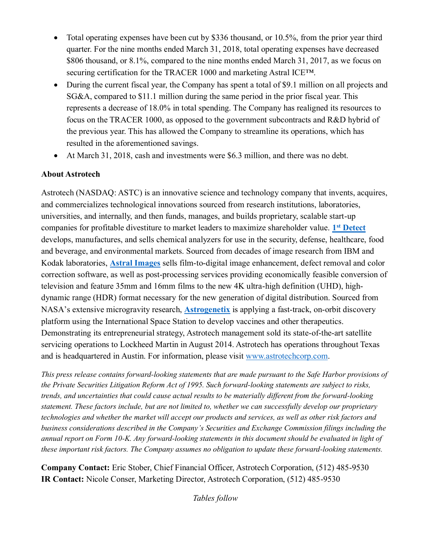- Total operating expenses have been cut by \$336 thousand, or 10.5%, from the prior year third quarter. For the nine months ended March 31, 2018, total operating expenses have decreased \$806 thousand, or 8.1%, compared to the nine months ended March 31, 2017, as we focus on securing certification for the TRACER 1000 and marketing Astral ICE™.
- During the current fiscal year, the Company has spent a total of \$9.1 million on all projects and SG&A, compared to \$11.1 million during the same period in the prior fiscal year. This represents a decrease of 18.0% in total spending. The Company has realigned its resources to focus on the TRACER 1000, as opposed to the government subcontracts and R&D hybrid of the previous year. This has allowed the Company to streamline its operations, which has resulted in the aforementioned savings.
- At March 31, 2018, cash and investments were \$6.3 million, and there was no debt.

## **About Astrotech**

Astrotech (NASDAQ: ASTC) is an innovative science and technology company that invents, acquires, and commercializes technological innovations sourced from research institutions, laboratories, universities, and internally, and then funds, manages, and builds proprietary, scalable start-up companies for profitable divestiture to market leaders to maximize shareholder value. **1 st [Detect](http://www.1stdetect.com/?utm_campaign=2018-pr&utm_source=astc&utm_medium=businesswire&utm_content=20180514-q3fy18-1d-boiler)** develops, manufactures, and sells chemical analyzers for use in the security, defense, healthcare, food and beverage, and environmental markets. Sourced from decades of image research from IBM and Kodak laboratories, **[Astral Images](http://www.astral-images.com/?utm_campaign=2018-pr&utm_source=astc&utm_medium=businesswire&utm_content=20180514-q3fy18-astral-boiler)** sells film-to-digital image enhancement, defect removal and color correction software, as well as post-processing services providing economically feasible conversion of television and feature 35mm and 16mm films to the new 4K ultra-high definition (UHD), highdynamic range (HDR) format necessary for the new generation of digital distribution. Sourced from NASA's extensive microgravity research, **[Astrogenetix](http://www.astrogenetix.com/?utm_campaign=2018-pr&utm_source=astc&utm_medium=businesswire&utm_content=20180514-q3fy18-astrogenetix-boiler)** is applying a fast-track, on-orbit discovery platform using the International Space Station to develop vaccines and other therapeutics. Demonstrating its entrepreneurial strategy, Astrotech management sold its state-of-the-art satellite servicing operations to Lockheed Martin in August 2014. Astrotech has operations throughout Texas and is headquartered in Austin. For information, please visit [www.astrotechcorp.com.](http://www.astrotechcorp.com/?utm_campaign=2018-pr&utm_source=astc&utm_medium=businesswire&utm_content=20180514-q3fy18-astc-boiler)

*This press release contains forward-looking statements that are made pursuant to the Safe Harbor provisions of the Private Securities Litigation Reform Act of 1995. Such forward-looking statements are subject to risks, trends, and uncertainties that could cause actual results to be materially different from the forward-looking statement. These factors include, but are not limited to, whether we can successfully develop our proprietary technologies and whether the market will accept our products and services, as well as other risk factors and business considerations described in the Company's Securities and Exchange Commission filings including the annual report on Form 10-K. Any forward-looking statements in this document should be evaluated in light of these important risk factors. The Company assumes no obligation to update these forward-looking statements.*

**Company Contact:** Eric Stober, Chief Financial Officer, Astrotech Corporation, (512) 485-9530 **IR Contact:** Nicole Conser, Marketing Director, Astrotech Corporation, (512) 485-9530

*Tables follow*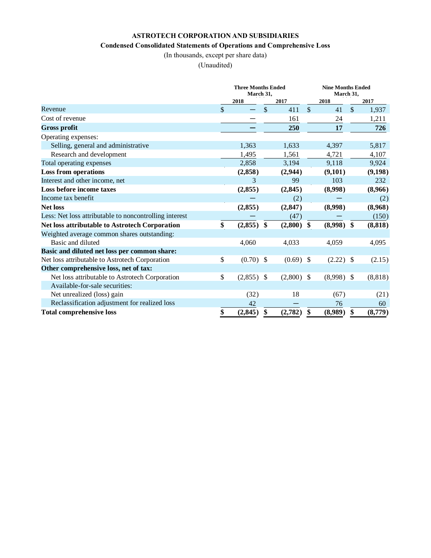### **ASTROTECH CORPORATION AND SUBSIDIARIES**

#### **Condensed Consolidated Statements of Operations and Comprehensive Loss**

(In thousands, except per share data)

(Unaudited)

|                                                        | <b>Three Months Ended</b><br>March 31, |              |    |          |               | <b>Nine Months Ended</b><br>March 31, |               |          |  |
|--------------------------------------------------------|----------------------------------------|--------------|----|----------|---------------|---------------------------------------|---------------|----------|--|
|                                                        |                                        | 2018         |    | 2017     |               | 2018                                  |               | 2017     |  |
| Revenue                                                | \$                                     |              | \$ | 411      | \$            | 41                                    | $\mathcal{S}$ | 1,937    |  |
| Cost of revenue                                        |                                        |              |    | 161      |               | 24                                    |               | 1,211    |  |
| <b>Gross profit</b>                                    |                                        |              |    | 250      |               | 17                                    |               | 726      |  |
| Operating expenses:                                    |                                        |              |    |          |               |                                       |               |          |  |
| Selling, general and administrative                    |                                        | 1,363        |    | 1,633    |               | 4,397                                 |               | 5,817    |  |
| Research and development                               |                                        | 1,495        |    | 1,561    |               | 4,721                                 |               | 4,107    |  |
| Total operating expenses                               |                                        | 2,858        |    | 3,194    |               | 9,118                                 |               | 9,924    |  |
| <b>Loss from operations</b>                            |                                        | (2,858)      |    | (2,944)  |               | (9,101)                               |               | (9,198)  |  |
| Interest and other income, net                         |                                        | 3            |    | 99       |               | 103                                   |               | 232      |  |
| Loss before income taxes                               |                                        | (2,855)      |    | (2, 845) |               | (8,998)                               |               | (8,966)  |  |
| Income tax benefit                                     |                                        |              |    | (2)      |               |                                       |               | (2)      |  |
| <b>Net loss</b>                                        |                                        | (2,855)      |    | (2, 847) |               | (8,998)                               |               | (8,968)  |  |
| Less: Net loss attributable to noncontrolling interest |                                        |              |    | (47)     |               |                                       |               | (150)    |  |
| Net loss attributable to Astrotech Corporation         | \$                                     | (2,855)      | \$ | (2,800)  | \$            | (8,998)                               | \$            | (8, 818) |  |
| Weighted average common shares outstanding:            |                                        |              |    |          |               |                                       |               |          |  |
| Basic and diluted                                      |                                        | 4,060        |    | 4,033    |               | 4,059                                 |               | 4,095    |  |
| Basic and diluted net loss per common share:           |                                        |              |    |          |               |                                       |               |          |  |
| Net loss attributable to Astrotech Corporation         | \$                                     | $(0.70)$ \$  |    | (0.69)   | $\mathcal{S}$ | $(2.22)$ \$                           |               | (2.15)   |  |
| Other comprehensive loss, net of tax:                  |                                        |              |    |          |               |                                       |               |          |  |
| Net loss attributable to Astrotech Corporation         | \$                                     | $(2,855)$ \$ |    | (2,800)  | \$            | $(8,998)$ \$                          |               | (8, 818) |  |
| Available-for-sale securities:                         |                                        |              |    |          |               |                                       |               |          |  |
| Net unrealized (loss) gain                             |                                        | (32)         |    | 18       |               | (67)                                  |               | (21)     |  |
| Reclassification adjustment for realized loss          |                                        | 42           |    |          |               | 76                                    |               | 60       |  |
| <b>Total comprehensive loss</b>                        | \$                                     | (2, 845)     | \$ | (2,782)  | \$            | (8,989)                               | \$            | (8,779)  |  |